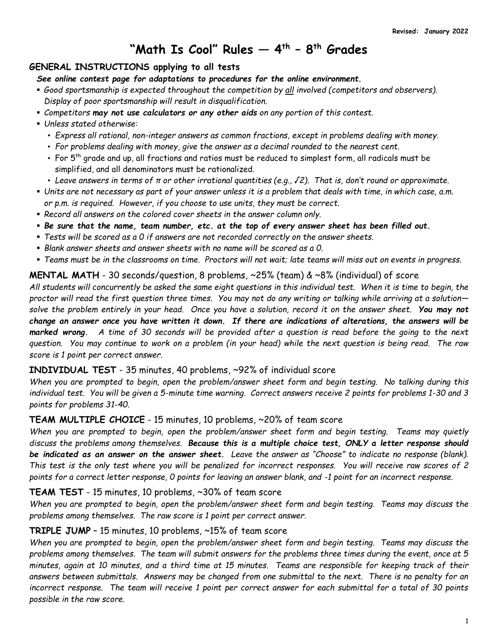# **"Math Is Cool" Rules — 4 th – 8 th Grades**

# **GENERAL INSTRUCTIONS applying to all tests**

*See online contest page for adaptations to procedures for the online environment.*

- *Good sportsmanship is expected throughout the competition by all involved (competitors and observers). Display of poor sportsmanship will result in disqualification.*
- *Competitors may not use calculators or any other aids on any portion of this contest.*
- *Unless stated otherwise:*
	- *Express all rational, non-integer answers as common fractions, except in problems dealing with money.*
	- *For problems dealing with money, give the answer as a decimal rounded to the nearest cent.*
	- For 5th grade and up, all fractions and ratios must be reduced to simplest form, all radicals must be simplified, and all denominators must be rationalized.
	- *Leave answers in terms of π or other irrational quantities (e.g., √2). That is, don't round or approximate.*
- *Units are not necessary as part of your answer unless it is a problem that deals with time, in which case, a.m. or p.m. is required. However, if you choose to use units, they must be correct.*
- *Record all answers on the colored cover sheets in the answer column only.*
- *Be sure that the name, team number, etc. at the top of every answer sheet has been filled out.*
- *Tests will be scored as a 0 if answers are not recorded correctly on the answer sheets.*
- *Blank answer sheets and answer sheets with no name will be scored as a 0.*
- *Teams must be in the classrooms on time. Proctors will not wait; late teams will miss out on events in progress.*

#### **MENTAL MATH** - 30 seconds/question, 8 problems, ~25% (team) & ~8% (individual) of score

*All students will concurrently be asked the same eight questions in this individual test. When it is time to begin, the proctor will read the first question three times. You may not do any writing or talking while arriving at a solution solve the problem entirely in your head. Once you have a solution, record it on the answer sheet. You may not change an answer once you have written it down. If there are indications of alterations, the answers will be marked wrong. A time of 30 seconds will be provided after a question is read before the going to the next question. You may continue to work on a problem (in your head) while the next question is being read. The raw score is 1 point per correct answer.*

#### **INDIVIDUAL TEST** - 35 minutes, 40 problems, ~92% of individual score

*When you are prompted to begin, open the problem/answer sheet form and begin testing. No talking during this individual test. You will be given a 5-minute time warning. Correct answers receive 2 points for problems 1-30 and 3 points for problems 31-40.*

#### **TEAM MULTIPLE CHOICE** - 15 minutes, 10 problems, ~20% of team score

*When you are prompted to begin, open the problem/answer sheet form and begin testing. Teams may quietly discuss the problems among themselves. Because this is a multiple choice test, ONLY a letter response should be indicated as an answer on the answer sheet. Leave the answer as "Choose" to indicate no response (blank). This test is the only test where you will be penalized for incorrect responses. You will receive raw scores of 2 points for a correct letter response, 0 points for leaving an answer blank, and -1 point for an incorrect response.*

#### **TEAM TEST** - 15 minutes, 10 problems, ~30% of team score

*When you are prompted to begin, open the problem/answer sheet form and begin testing. Teams may discuss the problems among themselves. The raw score is 1 point per correct answer.*

## **TRIPLE JUMP** – 15 minutes, 10 problems, ~15% of team score

*When you are prompted to begin, open the problem/answer sheet form and begin testing. Teams may discuss the problems among themselves. The team will submit answers for the problems three times during the event, once at 5 minutes, again at 10 minutes, and a third time at 15 minutes. Teams are responsible for keeping track of their answers between submittals. Answers may be changed from one submittal to the next. There is no penalty for an incorrect response. The team will receive 1 point per correct answer for each submittal for a total of 30 points possible in the raw score.*